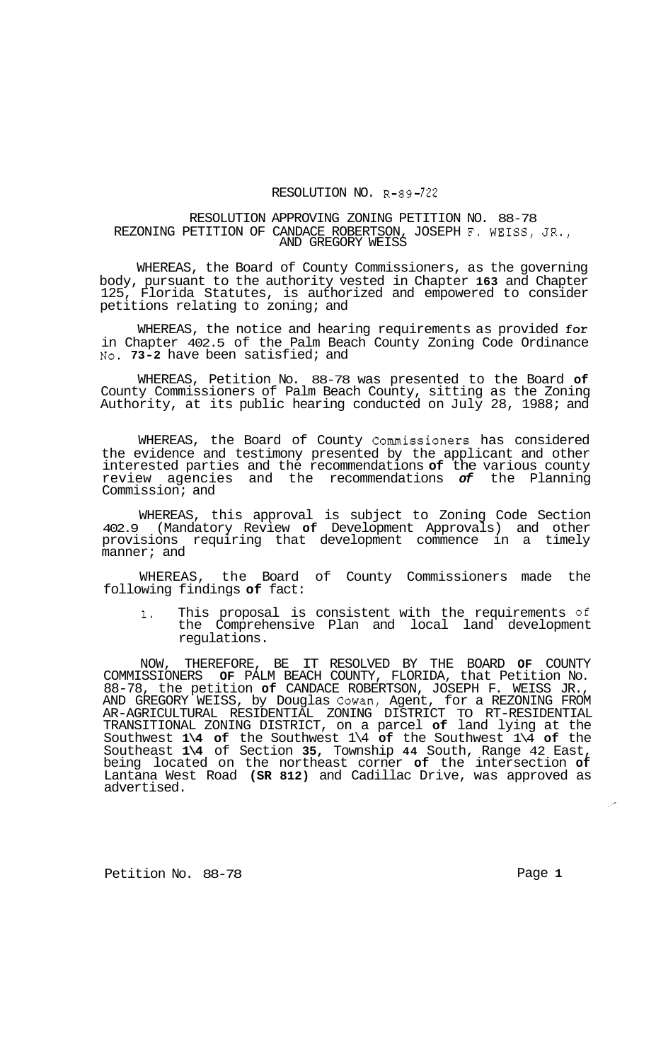## RESOLUTION NO. R-89-722

## RESOLUTION APPROVING ZONING PETITION NO. 88-78 REZONING PETITION OF CANDACE ROBERTSON, JOSEPH F. WEISS, JR., AND GREGORY WEISS

WHEREAS, the Board of County Commissioners, as the governing body, pursuant to the authority vested in Chapter **163** and Chapter 125, Florida Statutes, is authorized and empowered to consider petitions relating to zoning; and

WHEREAS, the notice and hearing requirements as provided for in Chapter 402.5 of the Palm Beach County Zoning Code Ordinance **No. 73-2** have been satisfied; and

WHEREAS, Petition No. 88-78 was presented to the Board **of**  County Commissioners of Palm Beach County, sitting as the Zoning Authority, at its public hearing conducted on July 28, 1988; and

WHEREAS, the Board of County Commissioners has considered the evidence and testimony presented by the applicant and other interested parties and the recommendations **of** the various county review agencies and the recommendations *of* the Planning Commission; and

WHEREAS, this approval is subject to Zoning Code Section 402.9 (Mandatory Review **of** Development Approvals) and other provisions requiring that development commence in a timely manner; and

WHEREAS, the Board of County Commissioners made the following findings **of** fact:

**1.** This proposal is consistent with the requirements **of**  the Comprehensive Plan and local land development regulations.

NOW, THEREFORE, BE IT RESOLVED BY THE BOARD **OF** COUNTY COMMISSIONERS **OF** PALM BEACH COUNTY, FLORIDA, that Petition No. 88-78, the petition **of** CANDACE ROBERTSON, JOSEPH F. WEISS JR., AND GREGORY WEISS, by Douglas Cowan, Agent, for a REZONING FROM TRANSITIONAL ZONING DISTRICT, on a parcel **of** land lying at the Southwest **1\4 of** the Southwest 1\4 **of** the Southwest 1\4 **of** the Southeast **1\4** of Section **35,** Township **44** South, Range 42 East, being located on the northeast corner **of** the intersection **of**  Lantana West Road **(SR 812)** and Cadillac Drive, was approved as advertised. AR-AGRICULTURAL RESIDENTIAL ZONING DISTRICT TO RT-RESIDENTIAL

Petition No. 88-78 **Page 1**